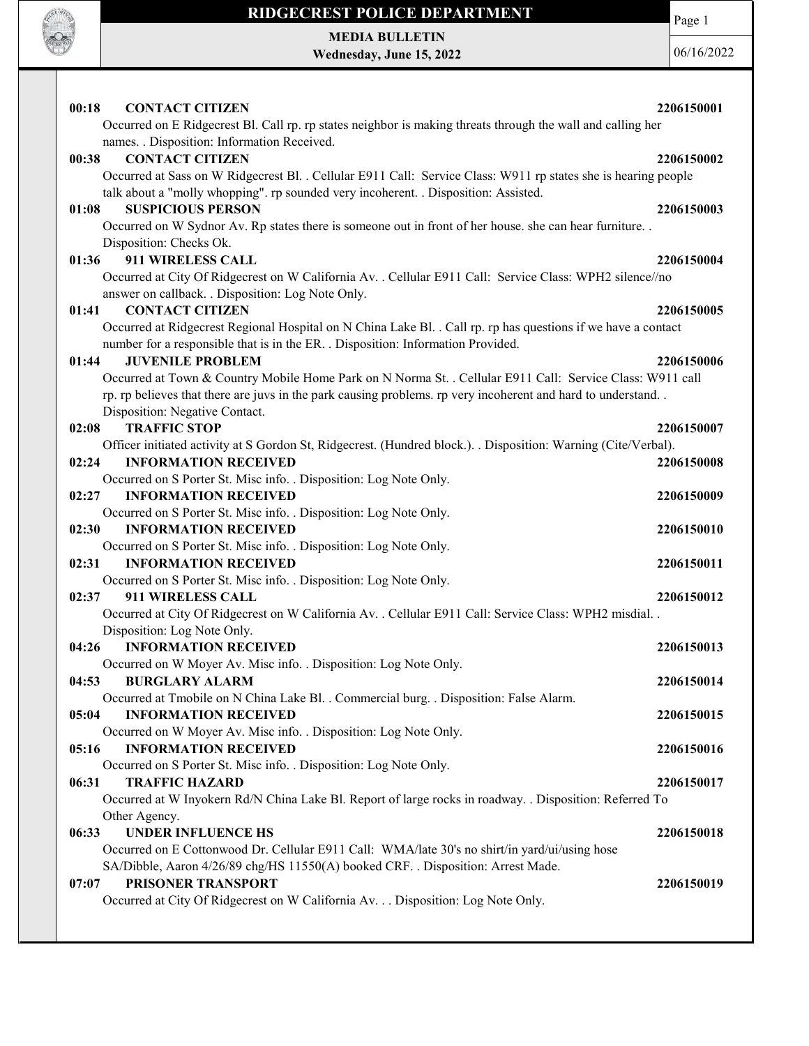

MEDIA BULLETIN Wednesday, June 15, 2022 Page 1

| <b>CONTACT CITIZEN</b><br>00:18<br>Occurred on E Ridgecrest Bl. Call rp. rp states neighbor is making threats through the wall and calling her | 2206150001 |
|------------------------------------------------------------------------------------------------------------------------------------------------|------------|
| names. . Disposition: Information Received.                                                                                                    |            |
| <b>CONTACT CITIZEN</b><br>00:38                                                                                                                | 2206150002 |
| Occurred at Sass on W Ridgecrest Bl. . Cellular E911 Call: Service Class: W911 rp states she is hearing people                                 |            |
| talk about a "molly whopping". rp sounded very incoherent. . Disposition: Assisted.                                                            |            |
| <b>SUSPICIOUS PERSON</b><br>01:08                                                                                                              | 2206150003 |
| Occurred on W Sydnor Av. Rp states there is someone out in front of her house. she can hear furniture                                          |            |
| Disposition: Checks Ok.                                                                                                                        |            |
| 911 WIRELESS CALL<br>01:36                                                                                                                     | 2206150004 |
| Occurred at City Of Ridgecrest on W California Av. . Cellular E911 Call: Service Class: WPH2 silence//no                                       |            |
| answer on callback. . Disposition: Log Note Only.                                                                                              |            |
| <b>CONTACT CITIZEN</b><br>01:41                                                                                                                | 2206150005 |
| Occurred at Ridgecrest Regional Hospital on N China Lake Bl. . Call rp. rp has questions if we have a contact                                  |            |
| number for a responsible that is in the ER. . Disposition: Information Provided.                                                               |            |
| 01:44<br><b>JUVENILE PROBLEM</b>                                                                                                               | 2206150006 |
| Occurred at Town & Country Mobile Home Park on N Norma St. . Cellular E911 Call: Service Class: W911 call                                      |            |
| rp. rp believes that there are juvs in the park causing problems. rp very incoherent and hard to understand                                    |            |
| Disposition: Negative Contact.                                                                                                                 |            |
| <b>TRAFFIC STOP</b><br>02:08                                                                                                                   | 2206150007 |
| Officer initiated activity at S Gordon St, Ridgecrest. (Hundred block.). . Disposition: Warning (Cite/Verbal).                                 |            |
| <b>INFORMATION RECEIVED</b><br>02:24                                                                                                           | 2206150008 |
| Occurred on S Porter St. Misc info. . Disposition: Log Note Only.                                                                              |            |
| <b>INFORMATION RECEIVED</b><br>02:27                                                                                                           | 2206150009 |
| Occurred on S Porter St. Misc info. . Disposition: Log Note Only.                                                                              |            |
| <b>INFORMATION RECEIVED</b><br>02:30                                                                                                           | 2206150010 |
| Occurred on S Porter St. Misc info. . Disposition: Log Note Only.                                                                              |            |
| 02:31<br><b>INFORMATION RECEIVED</b>                                                                                                           | 2206150011 |
| Occurred on S Porter St. Misc info. . Disposition: Log Note Only.                                                                              |            |
| 02:37<br>911 WIRELESS CALL                                                                                                                     | 2206150012 |
| Occurred at City Of Ridgecrest on W California Av. . Cellular E911 Call: Service Class: WPH2 misdial. .                                        |            |
| Disposition: Log Note Only.                                                                                                                    |            |
| 04:26<br><b>INFORMATION RECEIVED</b>                                                                                                           | 2206150013 |
| Occurred on W Moyer Av. Misc info. . Disposition: Log Note Only.                                                                               |            |
| 04:53<br><b>BURGLARY ALARM</b>                                                                                                                 | 2206150014 |
| Occurred at Tmobile on N China Lake Bl. . Commercial burg. . Disposition: False Alarm.                                                         |            |
| 05:04<br><b>INFORMATION RECEIVED</b>                                                                                                           | 2206150015 |
| Occurred on W Moyer Av. Misc info. . Disposition: Log Note Only.<br><b>INFORMATION RECEIVED</b><br>05:16                                       |            |
| Occurred on S Porter St. Misc info. . Disposition: Log Note Only.                                                                              | 2206150016 |
| 06:31<br><b>TRAFFIC HAZARD</b>                                                                                                                 | 2206150017 |
| Occurred at W Inyokern Rd/N China Lake Bl. Report of large rocks in roadway. . Disposition: Referred To                                        |            |
| Other Agency.                                                                                                                                  |            |
| <b>UNDER INFLUENCE HS</b><br>06:33                                                                                                             | 2206150018 |
| Occurred on E Cottonwood Dr. Cellular E911 Call: WMA/late 30's no shirt/in yard/ui/using hose                                                  |            |
| SA/Dibble, Aaron 4/26/89 chg/HS 11550(A) booked CRF. . Disposition: Arrest Made.                                                               |            |
| PRISONER TRANSPORT<br>07:07                                                                                                                    | 2206150019 |
| Occurred at City Of Ridgecrest on W California Av. Disposition: Log Note Only.                                                                 |            |
|                                                                                                                                                |            |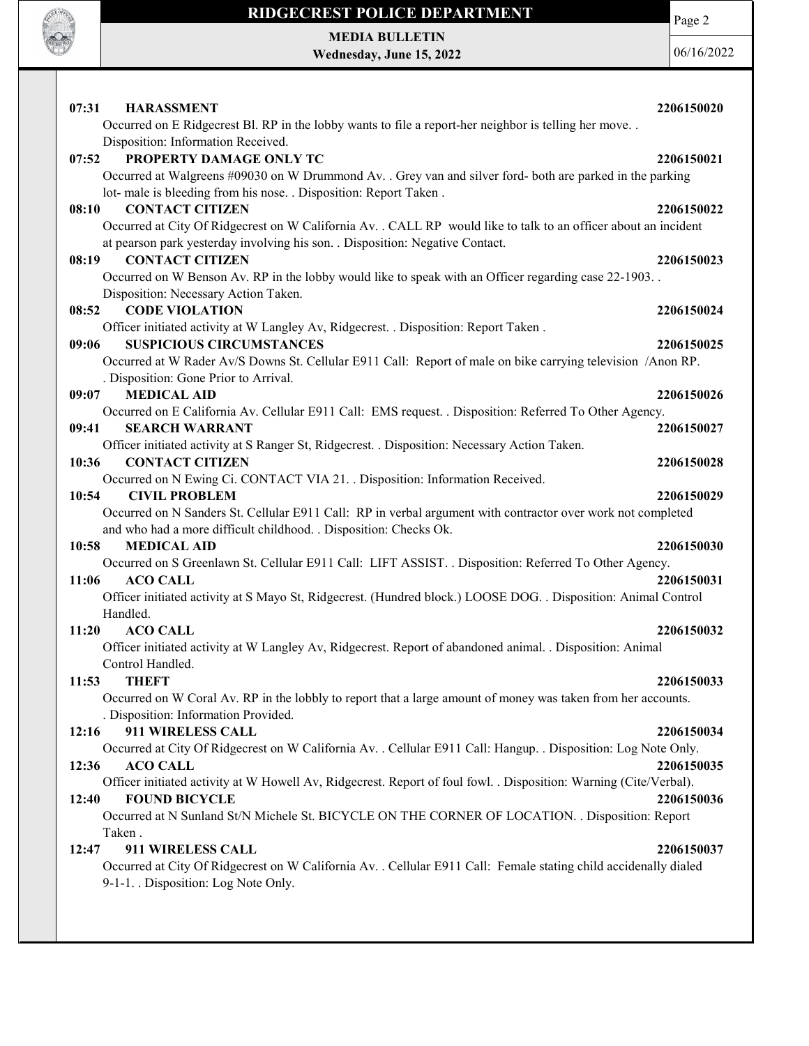

MEDIA BULLETIN Wednesday, June 15, 2022 Page 2

| 07:31<br><b>HARASSMENT</b>                                                                                               | 2206150020 |
|--------------------------------------------------------------------------------------------------------------------------|------------|
| Occurred on E Ridgecrest Bl. RP in the lobby wants to file a report-her neighbor is telling her move                     |            |
| Disposition: Information Received.                                                                                       |            |
| PROPERTY DAMAGE ONLY TC<br>07:52                                                                                         | 2206150021 |
| Occurred at Walgreens #09030 on W Drummond Av. . Grey van and silver ford- both are parked in the parking                |            |
| lot- male is bleeding from his nose. . Disposition: Report Taken.                                                        |            |
| 08:10<br><b>CONTACT CITIZEN</b>                                                                                          | 2206150022 |
| Occurred at City Of Ridgecrest on W California Av. . CALL RP would like to talk to an officer about an incident          |            |
| at pearson park yesterday involving his son. . Disposition: Negative Contact.                                            |            |
| <b>CONTACT CITIZEN</b><br>08:19                                                                                          | 2206150023 |
| Occurred on W Benson Av. RP in the lobby would like to speak with an Officer regarding case 22-1903                      |            |
| Disposition: Necessary Action Taken.<br><b>CODE VIOLATION</b><br>08:52                                                   |            |
| Officer initiated activity at W Langley Av, Ridgecrest. . Disposition: Report Taken.                                     | 2206150024 |
| <b>SUSPICIOUS CIRCUMSTANCES</b><br>09:06                                                                                 | 2206150025 |
| Occurred at W Rader Av/S Downs St. Cellular E911 Call: Report of male on bike carrying television /Anon RP.              |            |
| . Disposition: Gone Prior to Arrival.                                                                                    |            |
| <b>MEDICAL AID</b><br>09:07                                                                                              | 2206150026 |
| Occurred on E California Av. Cellular E911 Call: EMS request. . Disposition: Referred To Other Agency.                   |            |
| <b>SEARCH WARRANT</b><br>09:41                                                                                           | 2206150027 |
| Officer initiated activity at S Ranger St, Ridgecrest. . Disposition: Necessary Action Taken.                            |            |
| 10:36<br><b>CONTACT CITIZEN</b>                                                                                          | 2206150028 |
| Occurred on N Ewing Ci. CONTACT VIA 21. Disposition: Information Received.                                               |            |
| 10:54<br><b>CIVIL PROBLEM</b>                                                                                            | 2206150029 |
| Occurred on N Sanders St. Cellular E911 Call: RP in verbal argument with contractor over work not completed              |            |
| and who had a more difficult childhood. . Disposition: Checks Ok.                                                        |            |
| <b>MEDICAL AID</b><br>10:58                                                                                              | 2206150030 |
| Occurred on S Greenlawn St. Cellular E911 Call: LIFT ASSIST. . Disposition: Referred To Other Agency.<br><b>ACO CALL</b> | 2206150031 |
| 11:06<br>Officer initiated activity at S Mayo St, Ridgecrest. (Hundred block.) LOOSE DOG. . Disposition: Animal Control  |            |
| Handled.                                                                                                                 |            |
| <b>ACO CALL</b><br>11:20                                                                                                 | 2206150032 |
| Officer initiated activity at W Langley Av, Ridgecrest. Report of abandoned animal. . Disposition: Animal                |            |
| Control Handled.                                                                                                         |            |
| 11:53<br><b>THEFT</b>                                                                                                    | 2206150033 |
| Occurred on W Coral Av. RP in the lobbly to report that a large amount of money was taken from her accounts.             |            |
| . Disposition: Information Provided.                                                                                     |            |
| 911 WIRELESS CALL<br>12:16                                                                                               | 2206150034 |
| Occurred at City Of Ridgecrest on W California Av. . Cellular E911 Call: Hangup. . Disposition: Log Note Only.           |            |
| <b>ACO CALL</b><br>12:36                                                                                                 | 2206150035 |
| Officer initiated activity at W Howell Av, Ridgecrest. Report of foul fowl. . Disposition: Warning (Cite/Verbal).        |            |
| <b>FOUND BICYCLE</b><br>12:40                                                                                            | 2206150036 |
| Occurred at N Sunland St/N Michele St. BICYCLE ON THE CORNER OF LOCATION. . Disposition: Report                          |            |
| Taken.<br>911 WIRELESS CALL<br>12:47                                                                                     | 2206150037 |
| Occurred at City Of Ridgecrest on W California Av. . Cellular E911 Call: Female stating child accidenally dialed         |            |
| 9-1-1. Disposition: Log Note Only.                                                                                       |            |
|                                                                                                                          |            |
|                                                                                                                          |            |
|                                                                                                                          |            |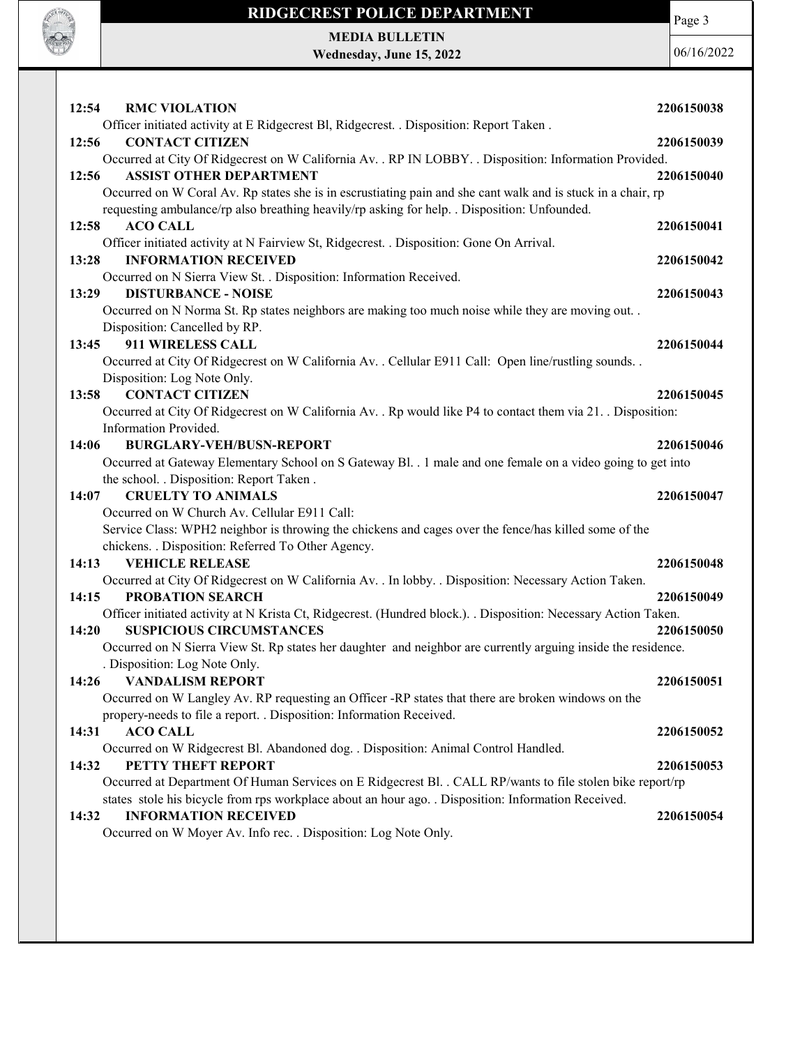

MEDIA BULLETIN Wednesday, June 15, 2022

**CONTRACTOR** 

| 12:54                  | 2206150038                                                                                                               |
|------------------------|--------------------------------------------------------------------------------------------------------------------------|
|                        |                                                                                                                          |
| 12:56                  | 2206150039                                                                                                               |
|                        | Occurred at City Of Ridgecrest on W California Av. . RP IN LOBBY. . Disposition: Information Provided.                   |
| 12:56                  | 2206150040                                                                                                               |
|                        | Occurred on W Coral Av. Rp states she is in escrustiating pain and she cant walk and is stuck in a chair, rp             |
|                        |                                                                                                                          |
| 12:58                  | 2206150041                                                                                                               |
|                        |                                                                                                                          |
| 13:28                  | 2206150042                                                                                                               |
|                        |                                                                                                                          |
| 13:29                  | 2206150043                                                                                                               |
|                        | Occurred on N Norma St. Rp states neighbors are making too much noise while they are moving out. .                       |
|                        |                                                                                                                          |
| 13:45                  | 2206150044                                                                                                               |
|                        | Occurred at City Of Ridgecrest on W California Av. . Cellular E911 Call: Open line/rustling sounds. .                    |
|                        |                                                                                                                          |
| 13:58                  | 2206150045                                                                                                               |
|                        | Occurred at City Of Ridgecrest on W California Av. . Rp would like P4 to contact them via 21. . Disposition:             |
|                        |                                                                                                                          |
| 14:06                  | 2206150046                                                                                                               |
|                        | Occurred at Gateway Elementary School on S Gateway Bl. . 1 male and one female on a video going to get into              |
|                        |                                                                                                                          |
| 14:07                  | 2206150047                                                                                                               |
|                        |                                                                                                                          |
|                        | Service Class: WPH2 neighbor is throwing the chickens and cages over the fence/has killed some of the                    |
|                        |                                                                                                                          |
| 14:13                  | 2206150048                                                                                                               |
|                        | Occurred at City Of Ridgecrest on W California Av. . In lobby. . Disposition: Necessary Action Taken.                    |
| 14:15                  | 2206150049                                                                                                               |
|                        | Officer initiated activity at N Krista Ct, Ridgecrest. (Hundred block.). . Disposition: Necessary Action Taken.          |
| 14:20                  | 2206150050                                                                                                               |
|                        | Occurred on N Sierra View St. Rp states her daughter and neighbor are currently arguing inside the residence.            |
|                        |                                                                                                                          |
| 14:26 VANDALISM REPORT | 2206150051                                                                                                               |
|                        | Occurred on W Langley Av. RP requesting an Officer -RP states that there are broken windows on the                       |
|                        |                                                                                                                          |
|                        |                                                                                                                          |
|                        |                                                                                                                          |
| 14:31                  | 2206150052                                                                                                               |
| 14:32                  |                                                                                                                          |
|                        | 2206150053<br>Occurred at Department Of Human Services on E Ridgecrest Bl. . CALL RP/wants to file stolen bike report/rp |
|                        |                                                                                                                          |
| 14:32                  | 2206150054                                                                                                               |
|                        |                                                                                                                          |
|                        |                                                                                                                          |
|                        |                                                                                                                          |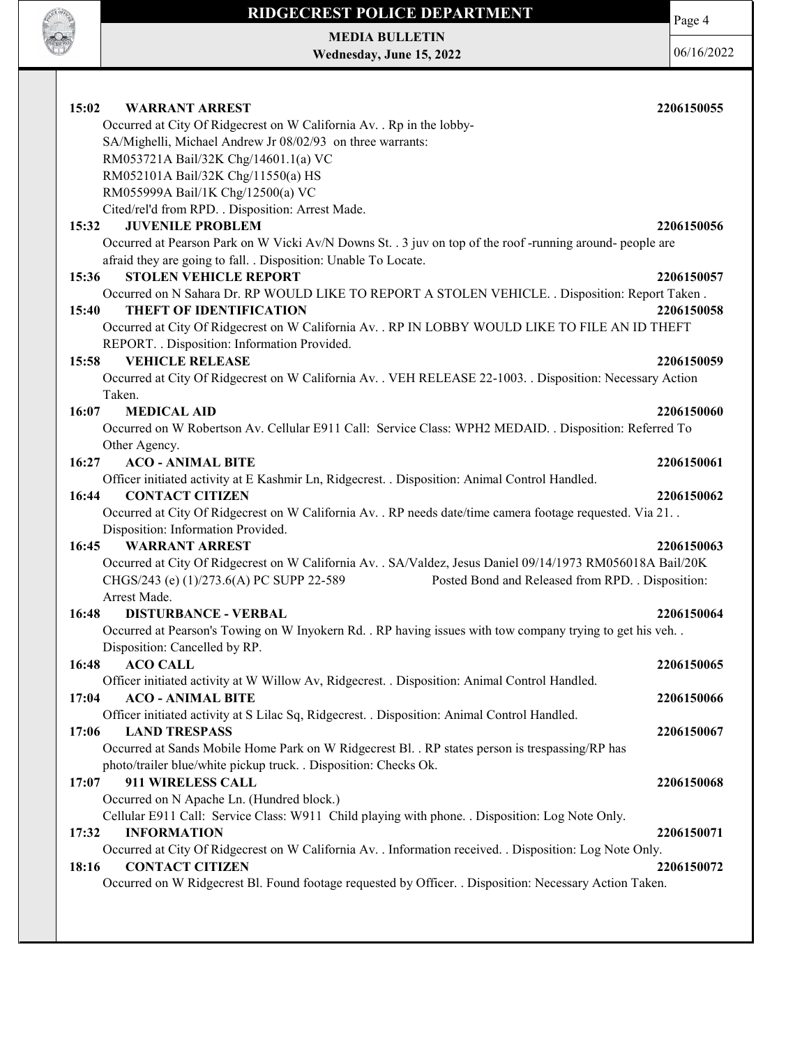

MEDIA BULLETIN Wednesday, June 15, 2022 Page 4

| 15:02<br><b>WARRANT ARREST</b>                                                                                | 2206150055 |
|---------------------------------------------------------------------------------------------------------------|------------|
| Occurred at City Of Ridgecrest on W California Av. . Rp in the lobby-                                         |            |
| SA/Mighelli, Michael Andrew Jr 08/02/93 on three warrants:                                                    |            |
| RM053721A Bail/32K Chg/14601.1(a) VC                                                                          |            |
| RM052101A Bail/32K Chg/11550(a) HS<br>RM055999A Bail/1K Chg/12500(a) VC                                       |            |
| Cited/rel'd from RPD. . Disposition: Arrest Made.                                                             |            |
| <b>JUVENILE PROBLEM</b><br>15:32                                                                              | 2206150056 |
| Occurred at Pearson Park on W Vicki Av/N Downs St. . 3 juv on top of the roof-running around- people are      |            |
| afraid they are going to fall. . Disposition: Unable To Locate.                                               |            |
| <b>STOLEN VEHICLE REPORT</b><br>15:36                                                                         | 2206150057 |
| Occurred on N Sahara Dr. RP WOULD LIKE TO REPORT A STOLEN VEHICLE. . Disposition: Report Taken.               |            |
| <b>THEFT OF IDENTIFICATION</b><br>15:40                                                                       | 2206150058 |
| Occurred at City Of Ridgecrest on W California Av. . RP IN LOBBY WOULD LIKE TO FILE AN ID THEFT               |            |
| REPORT. . Disposition: Information Provided.                                                                  |            |
| <b>VEHICLE RELEASE</b><br>15:58                                                                               | 2206150059 |
| Occurred at City Of Ridgecrest on W California Av. . VEH RELEASE 22-1003. . Disposition: Necessary Action     |            |
| Taken.                                                                                                        |            |
| 16:07<br><b>MEDICAL AID</b>                                                                                   | 2206150060 |
| Occurred on W Robertson Av. Cellular E911 Call: Service Class: WPH2 MEDAID. . Disposition: Referred To        |            |
| Other Agency.                                                                                                 |            |
| <b>ACO - ANIMAL BITE</b><br>16:27                                                                             | 2206150061 |
| Officer initiated activity at E Kashmir Ln, Ridgecrest. . Disposition: Animal Control Handled.                |            |
| <b>CONTACT CITIZEN</b><br>16:44                                                                               | 2206150062 |
| Occurred at City Of Ridgecrest on W California Av. . RP needs date/time camera footage requested. Via 21. .   |            |
| Disposition: Information Provided.                                                                            |            |
| 16:45<br><b>WARRANT ARREST</b>                                                                                | 2206150063 |
| Occurred at City Of Ridgecrest on W California Av. . SA/Valdez, Jesus Daniel 09/14/1973 RM056018A Bail/20K    |            |
| CHGS/243 (e) (1)/273.6(A) PC SUPP 22-589<br>Posted Bond and Released from RPD. . Disposition:<br>Arrest Made. |            |
| 16:48<br><b>DISTURBANCE - VERBAL</b>                                                                          | 2206150064 |
| Occurred at Pearson's Towing on W Inyokern Rd. . RP having issues with tow company trying to get his veh. .   |            |
| Disposition: Cancelled by RP.                                                                                 |            |
| <b>ACO CALL</b><br>16:48                                                                                      | 2206150065 |
| Officer initiated activity at W Willow Av, Ridgecrest. . Disposition: Animal Control Handled.                 |            |
| <b>ACO - ANIMAL BITE</b><br>17:04                                                                             | 2206150066 |
| Officer initiated activity at S Lilac Sq, Ridgecrest. . Disposition: Animal Control Handled.                  |            |
| 17:06<br><b>LAND TRESPASS</b>                                                                                 | 2206150067 |
| Occurred at Sands Mobile Home Park on W Ridgecrest Bl. . RP states person is trespassing/RP has               |            |
| photo/trailer blue/white pickup truck. . Disposition: Checks Ok.                                              |            |
| 911 WIRELESS CALL<br>17:07                                                                                    | 2206150068 |
| Occurred on N Apache Ln. (Hundred block.)                                                                     |            |
| Cellular E911 Call: Service Class: W911 Child playing with phone. . Disposition: Log Note Only.               |            |
| <b>INFORMATION</b><br>17:32                                                                                   | 2206150071 |
| Occurred at City Of Ridgecrest on W California Av. . Information received. . Disposition: Log Note Only.      |            |
| <b>CONTACT CITIZEN</b><br>18:16                                                                               | 2206150072 |
| Occurred on W Ridgecrest Bl. Found footage requested by Officer. . Disposition: Necessary Action Taken.       |            |
|                                                                                                               |            |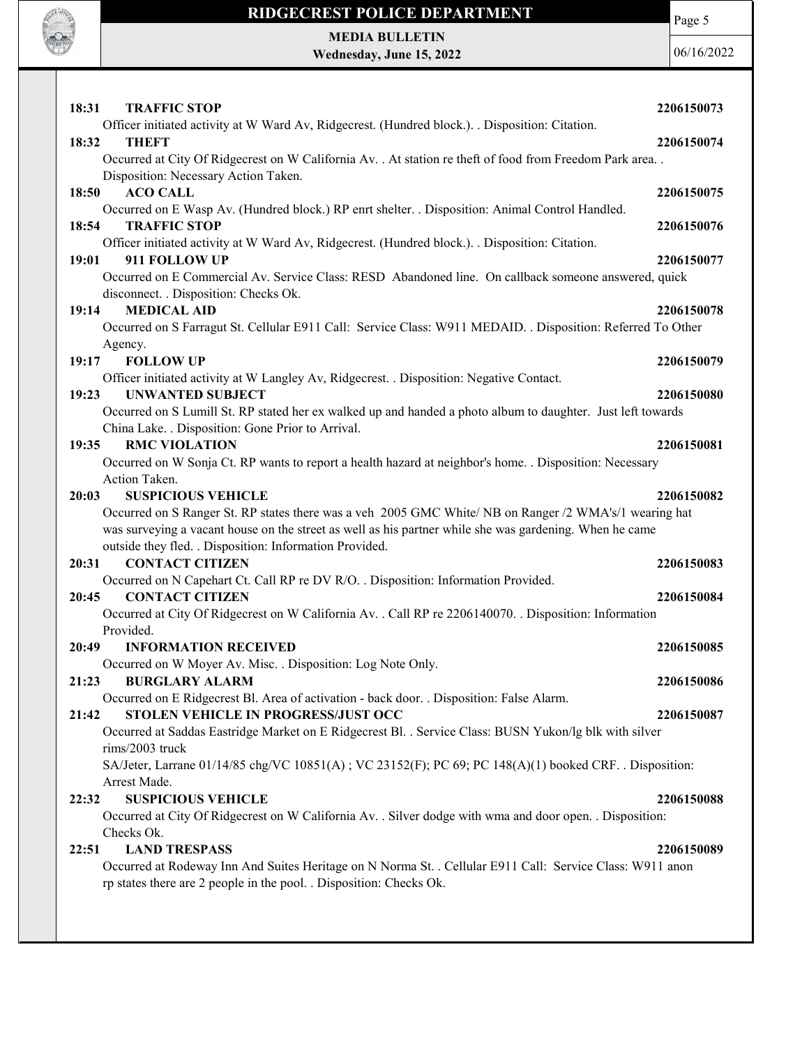

MEDIA BULLETIN Wednesday, June 15, 2022 Page 5

| Officer initiated activity at W Ward Av, Ridgecrest. (Hundred block.). . Disposition: Citation.<br>18:32<br><b>THEFT</b><br>2206150074<br>Occurred at City Of Ridgecrest on W California Av. . At station re theft of food from Freedom Park area. .<br>Disposition: Necessary Action Taken.<br><b>ACO CALL</b><br>18:50<br>2206150075<br>Occurred on E Wasp Av. (Hundred block.) RP enrt shelter. . Disposition: Animal Control Handled.<br>18:54<br><b>TRAFFIC STOP</b><br>2206150076<br>Officer initiated activity at W Ward Av, Ridgecrest. (Hundred block.). . Disposition: Citation.<br>19:01<br>911 FOLLOW UP<br>2206150077<br>Occurred on E Commercial Av. Service Class: RESD Abandoned line. On callback someone answered, quick<br>disconnect. . Disposition: Checks Ok.<br>19:14<br><b>MEDICAL AID</b><br>2206150078<br>Occurred on S Farragut St. Cellular E911 Call: Service Class: W911 MEDAID. . Disposition: Referred To Other<br>Agency.<br><b>FOLLOW UP</b><br>19:17<br>2206150079<br>Officer initiated activity at W Langley Av, Ridgecrest. . Disposition: Negative Contact.<br><b>UNWANTED SUBJECT</b><br>19:23<br>2206150080<br>Occurred on S Lumill St. RP stated her ex walked up and handed a photo album to daughter. Just left towards |
|--------------------------------------------------------------------------------------------------------------------------------------------------------------------------------------------------------------------------------------------------------------------------------------------------------------------------------------------------------------------------------------------------------------------------------------------------------------------------------------------------------------------------------------------------------------------------------------------------------------------------------------------------------------------------------------------------------------------------------------------------------------------------------------------------------------------------------------------------------------------------------------------------------------------------------------------------------------------------------------------------------------------------------------------------------------------------------------------------------------------------------------------------------------------------------------------------------------------------------------------------------------------|
|                                                                                                                                                                                                                                                                                                                                                                                                                                                                                                                                                                                                                                                                                                                                                                                                                                                                                                                                                                                                                                                                                                                                                                                                                                                                    |
|                                                                                                                                                                                                                                                                                                                                                                                                                                                                                                                                                                                                                                                                                                                                                                                                                                                                                                                                                                                                                                                                                                                                                                                                                                                                    |
|                                                                                                                                                                                                                                                                                                                                                                                                                                                                                                                                                                                                                                                                                                                                                                                                                                                                                                                                                                                                                                                                                                                                                                                                                                                                    |
|                                                                                                                                                                                                                                                                                                                                                                                                                                                                                                                                                                                                                                                                                                                                                                                                                                                                                                                                                                                                                                                                                                                                                                                                                                                                    |
|                                                                                                                                                                                                                                                                                                                                                                                                                                                                                                                                                                                                                                                                                                                                                                                                                                                                                                                                                                                                                                                                                                                                                                                                                                                                    |
|                                                                                                                                                                                                                                                                                                                                                                                                                                                                                                                                                                                                                                                                                                                                                                                                                                                                                                                                                                                                                                                                                                                                                                                                                                                                    |
|                                                                                                                                                                                                                                                                                                                                                                                                                                                                                                                                                                                                                                                                                                                                                                                                                                                                                                                                                                                                                                                                                                                                                                                                                                                                    |
|                                                                                                                                                                                                                                                                                                                                                                                                                                                                                                                                                                                                                                                                                                                                                                                                                                                                                                                                                                                                                                                                                                                                                                                                                                                                    |
|                                                                                                                                                                                                                                                                                                                                                                                                                                                                                                                                                                                                                                                                                                                                                                                                                                                                                                                                                                                                                                                                                                                                                                                                                                                                    |
|                                                                                                                                                                                                                                                                                                                                                                                                                                                                                                                                                                                                                                                                                                                                                                                                                                                                                                                                                                                                                                                                                                                                                                                                                                                                    |
|                                                                                                                                                                                                                                                                                                                                                                                                                                                                                                                                                                                                                                                                                                                                                                                                                                                                                                                                                                                                                                                                                                                                                                                                                                                                    |
|                                                                                                                                                                                                                                                                                                                                                                                                                                                                                                                                                                                                                                                                                                                                                                                                                                                                                                                                                                                                                                                                                                                                                                                                                                                                    |
|                                                                                                                                                                                                                                                                                                                                                                                                                                                                                                                                                                                                                                                                                                                                                                                                                                                                                                                                                                                                                                                                                                                                                                                                                                                                    |
|                                                                                                                                                                                                                                                                                                                                                                                                                                                                                                                                                                                                                                                                                                                                                                                                                                                                                                                                                                                                                                                                                                                                                                                                                                                                    |
|                                                                                                                                                                                                                                                                                                                                                                                                                                                                                                                                                                                                                                                                                                                                                                                                                                                                                                                                                                                                                                                                                                                                                                                                                                                                    |
|                                                                                                                                                                                                                                                                                                                                                                                                                                                                                                                                                                                                                                                                                                                                                                                                                                                                                                                                                                                                                                                                                                                                                                                                                                                                    |
| China Lake. . Disposition: Gone Prior to Arrival.                                                                                                                                                                                                                                                                                                                                                                                                                                                                                                                                                                                                                                                                                                                                                                                                                                                                                                                                                                                                                                                                                                                                                                                                                  |
| <b>RMC VIOLATION</b><br>2206150081<br>19:35                                                                                                                                                                                                                                                                                                                                                                                                                                                                                                                                                                                                                                                                                                                                                                                                                                                                                                                                                                                                                                                                                                                                                                                                                        |
| Occurred on W Sonja Ct. RP wants to report a health hazard at neighbor's home. . Disposition: Necessary                                                                                                                                                                                                                                                                                                                                                                                                                                                                                                                                                                                                                                                                                                                                                                                                                                                                                                                                                                                                                                                                                                                                                            |
| Action Taken.                                                                                                                                                                                                                                                                                                                                                                                                                                                                                                                                                                                                                                                                                                                                                                                                                                                                                                                                                                                                                                                                                                                                                                                                                                                      |
| <b>SUSPICIOUS VEHICLE</b><br>2206150082<br>20:03                                                                                                                                                                                                                                                                                                                                                                                                                                                                                                                                                                                                                                                                                                                                                                                                                                                                                                                                                                                                                                                                                                                                                                                                                   |
| Occurred on S Ranger St. RP states there was a veh 2005 GMC White/ NB on Ranger /2 WMA's/1 wearing hat                                                                                                                                                                                                                                                                                                                                                                                                                                                                                                                                                                                                                                                                                                                                                                                                                                                                                                                                                                                                                                                                                                                                                             |
| was surveying a vacant house on the street as well as his partner while she was gardening. When he came<br>outside they fled. . Disposition: Information Provided.                                                                                                                                                                                                                                                                                                                                                                                                                                                                                                                                                                                                                                                                                                                                                                                                                                                                                                                                                                                                                                                                                                 |
| <b>CONTACT CITIZEN</b><br>20:31<br>2206150083                                                                                                                                                                                                                                                                                                                                                                                                                                                                                                                                                                                                                                                                                                                                                                                                                                                                                                                                                                                                                                                                                                                                                                                                                      |
| Occurred on N Capehart Ct. Call RP re DV R/O. . Disposition: Information Provided.                                                                                                                                                                                                                                                                                                                                                                                                                                                                                                                                                                                                                                                                                                                                                                                                                                                                                                                                                                                                                                                                                                                                                                                 |
| <b>CONTACT CITIZEN</b><br>20:45<br>2206150084                                                                                                                                                                                                                                                                                                                                                                                                                                                                                                                                                                                                                                                                                                                                                                                                                                                                                                                                                                                                                                                                                                                                                                                                                      |
| Occurred at City Of Ridgecrest on W California Av. . Call RP re 2206140070. . Disposition: Information                                                                                                                                                                                                                                                                                                                                                                                                                                                                                                                                                                                                                                                                                                                                                                                                                                                                                                                                                                                                                                                                                                                                                             |
| Provided.                                                                                                                                                                                                                                                                                                                                                                                                                                                                                                                                                                                                                                                                                                                                                                                                                                                                                                                                                                                                                                                                                                                                                                                                                                                          |
| 20:49<br><b>INFORMATION RECEIVED</b><br>2206150085                                                                                                                                                                                                                                                                                                                                                                                                                                                                                                                                                                                                                                                                                                                                                                                                                                                                                                                                                                                                                                                                                                                                                                                                                 |
| Occurred on W Moyer Av. Misc. . Disposition: Log Note Only.                                                                                                                                                                                                                                                                                                                                                                                                                                                                                                                                                                                                                                                                                                                                                                                                                                                                                                                                                                                                                                                                                                                                                                                                        |
| 2206150086<br><b>BURGLARY ALARM</b><br>21:23                                                                                                                                                                                                                                                                                                                                                                                                                                                                                                                                                                                                                                                                                                                                                                                                                                                                                                                                                                                                                                                                                                                                                                                                                       |
| Occurred on E Ridgecrest Bl. Area of activation - back door. . Disposition: False Alarm.                                                                                                                                                                                                                                                                                                                                                                                                                                                                                                                                                                                                                                                                                                                                                                                                                                                                                                                                                                                                                                                                                                                                                                           |
| STOLEN VEHICLE IN PROGRESS/JUST OCC<br>2206150087<br>21:42                                                                                                                                                                                                                                                                                                                                                                                                                                                                                                                                                                                                                                                                                                                                                                                                                                                                                                                                                                                                                                                                                                                                                                                                         |
| Occurred at Saddas Eastridge Market on E Ridgecrest Bl. . Service Class: BUSN Yukon/lg blk with silver                                                                                                                                                                                                                                                                                                                                                                                                                                                                                                                                                                                                                                                                                                                                                                                                                                                                                                                                                                                                                                                                                                                                                             |
| rims/2003 truck                                                                                                                                                                                                                                                                                                                                                                                                                                                                                                                                                                                                                                                                                                                                                                                                                                                                                                                                                                                                                                                                                                                                                                                                                                                    |
| SA/Jeter, Larrane 01/14/85 chg/VC 10851(A); VC 23152(F); PC 69; PC 148(A)(1) booked CRF. . Disposition:                                                                                                                                                                                                                                                                                                                                                                                                                                                                                                                                                                                                                                                                                                                                                                                                                                                                                                                                                                                                                                                                                                                                                            |
| Arrest Made.                                                                                                                                                                                                                                                                                                                                                                                                                                                                                                                                                                                                                                                                                                                                                                                                                                                                                                                                                                                                                                                                                                                                                                                                                                                       |
| <b>SUSPICIOUS VEHICLE</b><br>2206150088<br>22:32                                                                                                                                                                                                                                                                                                                                                                                                                                                                                                                                                                                                                                                                                                                                                                                                                                                                                                                                                                                                                                                                                                                                                                                                                   |
| Occurred at City Of Ridgecrest on W California Av. . Silver dodge with wma and door open. . Disposition:<br>Checks Ok.                                                                                                                                                                                                                                                                                                                                                                                                                                                                                                                                                                                                                                                                                                                                                                                                                                                                                                                                                                                                                                                                                                                                             |
| <b>LAND TRESPASS</b><br>2206150089<br>22:51                                                                                                                                                                                                                                                                                                                                                                                                                                                                                                                                                                                                                                                                                                                                                                                                                                                                                                                                                                                                                                                                                                                                                                                                                        |
| Occurred at Rodeway Inn And Suites Heritage on N Norma St. . Cellular E911 Call: Service Class: W911 anon                                                                                                                                                                                                                                                                                                                                                                                                                                                                                                                                                                                                                                                                                                                                                                                                                                                                                                                                                                                                                                                                                                                                                          |
| rp states there are 2 people in the pool. . Disposition: Checks Ok.                                                                                                                                                                                                                                                                                                                                                                                                                                                                                                                                                                                                                                                                                                                                                                                                                                                                                                                                                                                                                                                                                                                                                                                                |
|                                                                                                                                                                                                                                                                                                                                                                                                                                                                                                                                                                                                                                                                                                                                                                                                                                                                                                                                                                                                                                                                                                                                                                                                                                                                    |
|                                                                                                                                                                                                                                                                                                                                                                                                                                                                                                                                                                                                                                                                                                                                                                                                                                                                                                                                                                                                                                                                                                                                                                                                                                                                    |
|                                                                                                                                                                                                                                                                                                                                                                                                                                                                                                                                                                                                                                                                                                                                                                                                                                                                                                                                                                                                                                                                                                                                                                                                                                                                    |